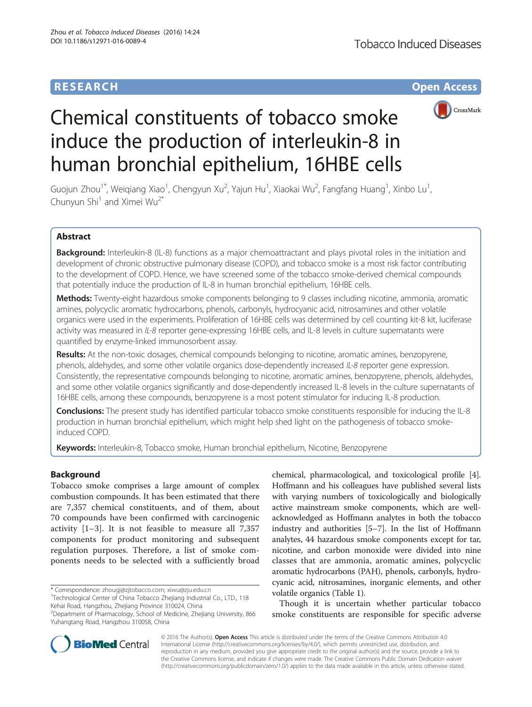## **RESEARCH CHE Open Access**



# Chemical constituents of tobacco smoke induce the production of interleukin-8 in human bronchial epithelium, 16HBE cells

Guojun Zhou<sup>1\*</sup>, Weiqiang Xiao<sup>1</sup>, Chengyun Xu<sup>2</sup>, Yajun Hu<sup>1</sup>, Xiaokai Wu<sup>2</sup>, Fangfang Huang<sup>1</sup>, Xinbo Lu<sup>1</sup> , Chunyun Shi<sup>1</sup> and Ximei Wu<sup>2\*</sup>

## Abstract

Background: Interleukin-8 (IL-8) functions as a major chemoattractant and plays pivotal roles in the initiation and development of chronic obstructive pulmonary disease (COPD), and tobacco smoke is a most risk factor contributing to the development of COPD. Hence, we have screened some of the tobacco smoke-derived chemical compounds that potentially induce the production of IL-8 in human bronchial epithelium, 16HBE cells.

Methods: Twenty-eight hazardous smoke components belonging to 9 classes including nicotine, ammonia, aromatic amines, polycyclic aromatic hydrocarbons, phenols, carbonyls, hydrocyanic acid, nitrosamines and other volatile organics were used in the experiments. Proliferation of 16HBE cells was determined by cell counting kit-8 kit, luciferase activity was measured in IL-8 reporter gene-expressing 16HBE cells, and IL-8 levels in culture supernatants were quantified by enzyme-linked immunosorbent assay.

Results: At the non-toxic dosages, chemical compounds belonging to nicotine, aromatic amines, benzopyrene, phenols, aldehydes, and some other volatile organics dose-dependently increased IL-8 reporter gene expression. Consistently, the representative compounds belonging to nicotine, aromatic amines, benzopyrene, phenols, aldehydes, and some other volatile organics significantly and dose-dependently increased IL-8 levels in the culture supernatants of 16HBE cells, among these compounds, benzopyrene is a most potent stimulator for inducing IL-8 production.

Conclusions: The present study has identified particular tobacco smoke constituents responsible for inducing the IL-8 production in human bronchial epithelium, which might help shed light on the pathogenesis of tobacco smokeinduced COPD.

Keywords: Interleukin-8, Tobacco smoke, Human bronchial epithelium, Nicotine, Benzopyrene

## Background

Tobacco smoke comprises a large amount of complex combustion compounds. It has been estimated that there are 7,357 chemical constituents, and of them, about 70 compounds have been confirmed with carcinogenic activity [[1](#page-7-0)–[3\]](#page-7-0). It is not feasible to measure all 7,357 components for product monitoring and subsequent regulation purposes. Therefore, a list of smoke components needs to be selected with a sufficiently broad

\* Correspondence: [zhougj@zjtobacco.com;](mailto:zhougj@zjtobacco.com) [xiwu@zju.edu.cn](mailto:xiwu@zju.edu.cn) <sup>1</sup>

<sup>1</sup>Technological Center of China Tobacco Zhejiang Industrial Co., LTD., 118 Kehai Road, Hangzhou, Zhejiang Province 310024, China

chemical, pharmacological, and toxicological profile [[4](#page-7-0)]. Hoffmann and his colleagues have published several lists with varying numbers of toxicologically and biologically active mainstream smoke components, which are wellacknowledged as Hoffmann analytes in both the tobacco industry and authorities [\[5](#page-7-0)–[7\]](#page-7-0). In the list of Hoffmann analytes, 44 hazardous smoke components except for tar, nicotine, and carbon monoxide were divided into nine classes that are ammonia, aromatic amines, polycyclic aromatic hydrocarbons (PAH), phenols, carbonyls, hydrocyanic acid, nitrosamines, inorganic elements, and other volatile organics (Table [1](#page-1-0)).

Though it is uncertain whether particular tobacco smoke constituents are responsible for specific adverse



© 2016 The Author(s). Open Access This article is distributed under the terms of the Creative Commons Attribution 4.0 International License [\(http://creativecommons.org/licenses/by/4.0/](http://creativecommons.org/licenses/by/4.0/)), which permits unrestricted use, distribution, and reproduction in any medium, provided you give appropriate credit to the original author(s) and the source, provide a link to the Creative Commons license, and indicate if changes were made. The Creative Commons Public Domain Dedication waiver [\(http://creativecommons.org/publicdomain/zero/1.0/](http://creativecommons.org/publicdomain/zero/1.0/)) applies to the data made available in this article, unless otherwise stated.

<sup>&</sup>lt;sup>2</sup>Department of Pharmacology, School of Medicine, Zhejiang University, 866 Yuhangtang Road, Hangzhou 310058, China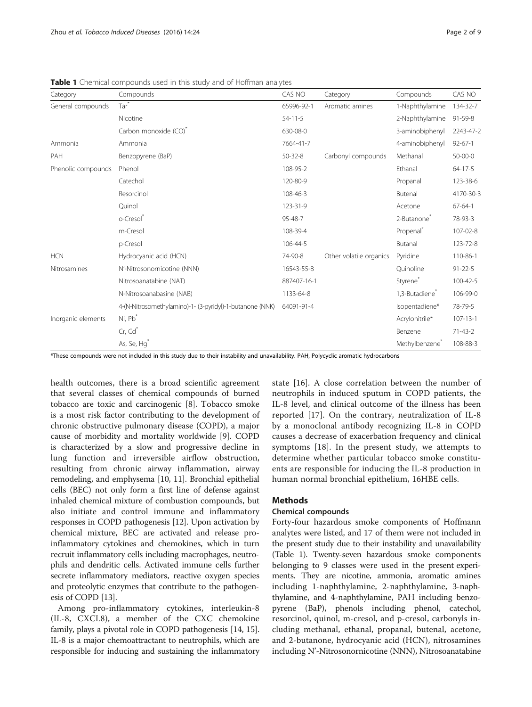| Category           | Compounds                                                | CAS NO        | Category                | Compounds                  | CAS NO         |
|--------------------|----------------------------------------------------------|---------------|-------------------------|----------------------------|----------------|
| General compounds  | Tar <sup>*</sup>                                         | 65996-92-1    | Aromatic amines         | 1-Naphthylamine            | 134-32-7       |
|                    | Nicotine                                                 | $54-11-5$     |                         | 2-Naphthylamine            | 91-59-8        |
|                    | Carbon monoxide (CO)*                                    | 630-08-0      |                         | 3-aminobiphenyl            | 2243-47-2      |
| Ammonia            | Ammonia                                                  | 7664-41-7     |                         | 4-aminobiphenyl            | $92 - 67 - 1$  |
| PAH                | Benzopyrene (BaP)                                        | $50 - 32 - 8$ | Carbonyl compounds      | Methanal                   | $50 - 00 - 0$  |
| Phenolic compounds | Phenol                                                   | 108-95-2      |                         | Ethanal                    | $64 - 17 - 5$  |
|                    | Catechol                                                 | 120-80-9      |                         | Propanal                   | 123-38-6       |
|                    | Resorcinol                                               | 108-46-3      |                         | Butenal                    | 4170-30-3      |
|                    | Ouinol                                                   | 123-31-9      |                         | Acetone                    | $67 - 64 - 1$  |
|                    | o-Cresol®                                                | 95-48-7       |                         | 2-Butanone <sup>®</sup>    | 78-93-3        |
|                    | m-Cresol                                                 | 108-39-4      |                         | Propenal <sup>*</sup>      | 107-02-8       |
|                    | p-Cresol                                                 | 106-44-5      |                         | Butanal                    | 123-72-8       |
| <b>HCN</b>         | Hydrocyanic acid (HCN)                                   | 74-90-8       | Other volatile organics | Pyridine                   | 110-86-1       |
| Nitrosamines       | N'-Nitrosonornicotine (NNN)                              | 16543-55-8    |                         | Ouinoline                  | $91 - 22 - 5$  |
|                    | Nitrosoanatabine (NAT)                                   | 887407-16-1   |                         | Styrene*                   | 100-42-5       |
|                    | N-Nitrosoanabasine (NAB)                                 | 1133-64-8     |                         | 1,3-Butadiene <sup>®</sup> | 106-99-0       |
|                    | 4-(N-Nitrosomethylamino)-1- (3-pyridyl)-1-butanone (NNK) | 64091-91-4    |                         | Isopentadiene*             | 78-79-5        |
| Inorganic elements | Ni, Pb <sup>*</sup>                                      |               |                         | Acrylonitrile*             | $107 - 13 - 1$ |
|                    | Cr, Cd                                                   |               |                         | Benzene                    | $71-43-2$      |
|                    | As, Se, Hg <sup>*</sup>                                  |               |                         | Methylbenzene <sup>*</sup> | 108-88-3       |

<span id="page-1-0"></span>Table 1 Chemical compounds used in this study and of Hoffman analytes

\*These compounds were not included in this study due to their instability and unavailability. PAH, Polycyclic aromatic hydrocarbons

health outcomes, there is a broad scientific agreement that several classes of chemical compounds of burned tobacco are toxic and carcinogenic [[8\]](#page-7-0). Tobacco smoke is a most risk factor contributing to the development of chronic obstructive pulmonary disease (COPD), a major cause of morbidity and mortality worldwide [\[9](#page-7-0)]. COPD is characterized by a slow and progressive decline in lung function and irreversible airflow obstruction, resulting from chronic airway inflammation, airway remodeling, and emphysema [\[10](#page-7-0), [11](#page-7-0)]. Bronchial epithelial cells (BEC) not only form a first line of defense against inhaled chemical mixture of combustion compounds, but also initiate and control immune and inflammatory responses in COPD pathogenesis [\[12\]](#page-7-0). Upon activation by chemical mixture, BEC are activated and release proinflammatory cytokines and chemokines, which in turn recruit inflammatory cells including macrophages, neutrophils and dendritic cells. Activated immune cells further secrete inflammatory mediators, reactive oxygen species and proteolytic enzymes that contribute to the pathogenesis of COPD [\[13\]](#page-7-0).

Among pro-inflammatory cytokines, interleukin-8 (IL-8, CXCL8), a member of the CXC chemokine family, plays a pivotal role in COPD pathogenesis [\[14, 15](#page-7-0)]. IL-8 is a major chemoattractant to neutrophils, which are responsible for inducing and sustaining the inflammatory state [[16\]](#page-8-0). A close correlation between the number of neutrophils in induced sputum in COPD patients, the IL-8 level, and clinical outcome of the illness has been reported [\[17](#page-8-0)]. On the contrary, neutralization of IL-8 by a monoclonal antibody recognizing IL-8 in COPD causes a decrease of exacerbation frequency and clinical symptoms [\[18](#page-8-0)]. In the present study, we attempts to determine whether particular tobacco smoke constituents are responsible for inducing the IL-8 production in human normal bronchial epithelium, 16HBE cells.

#### Methods

## Chemical compounds

Forty-four hazardous smoke components of Hoffmann analytes were listed, and 17 of them were not included in the present study due to their instability and unavailability (Table 1). Twenty-seven hazardous smoke components belonging to 9 classes were used in the present experiments. They are nicotine, ammonia, aromatic amines including 1-naphthylamine, 2-naphthylamine, 3-naphthylamine, and 4-naphthylamine, PAH including benzopyrene (BaP), phenols including phenol, catechol, resorcinol, quinol, m-cresol, and p-cresol, carbonyls including methanal, ethanal, propanal, butenal, acetone, and 2-butanone, hydrocyanic acid (HCN), nitrosamines including N'-Nitrosonornicotine (NNN), Nitrosoanatabine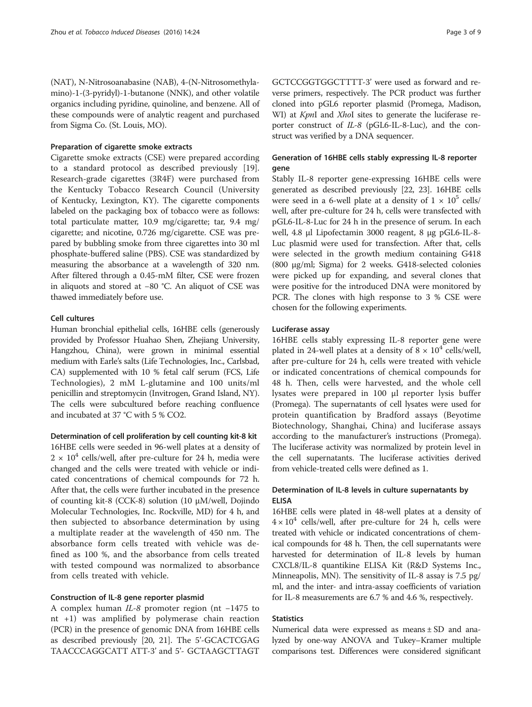(NAT), N-Nitrosoanabasine (NAB), 4-(N-Nitrosomethylamino)-1-(3-pyridyl)-1-butanone (NNK), and other volatile organics including pyridine, quinoline, and benzene. All of these compounds were of analytic reagent and purchased from Sigma Co. (St. Louis, MO).

#### Preparation of cigarette smoke extracts

Cigarette smoke extracts (CSE) were prepared according to a standard protocol as described previously [\[19](#page-8-0)]. Research-grade cigarettes (3R4F) were purchased from the Kentucky Tobacco Research Council (University of Kentucky, Lexington, KY). The cigarette components labeled on the packaging box of tobacco were as follows: total particulate matter, 10.9 mg/cigarette; tar, 9.4 mg/ cigarette; and nicotine, 0.726 mg/cigarette. CSE was prepared by bubbling smoke from three cigarettes into 30 ml phosphate-buffered saline (PBS). CSE was standardized by measuring the absorbance at a wavelength of 320 nm. After filtered through a 0.45-mM filter, CSE were frozen in aliquots and stored at −80 °C. An aliquot of CSE was thawed immediately before use.

#### Cell cultures

Human bronchial epithelial cells, 16HBE cells (generously provided by Professor Huahao Shen, Zhejiang University, Hangzhou, China), were grown in minimal essential medium with Earle's salts (Life Technologies, Inc., Carlsbad, CA) supplemented with 10 % fetal calf serum (FCS, Life Technologies), 2 mM L-glutamine and 100 units/ml penicillin and streptomycin (Invitrogen, Grand Island, NY). The cells were subcultured before reaching confluence and incubated at 37 °C with 5 % CO2.

#### Determination of cell proliferation by cell counting kit-8 kit

16HBE cells were seeded in 96-well plates at a density of  $2 \times 10^4$  cells/well, after pre-culture for 24 h, media were changed and the cells were treated with vehicle or indicated concentrations of chemical compounds for 72 h. After that, the cells were further incubated in the presence of counting kit-8 (CCK-8) solution (10 μM/well, Dojindo Molecular Technologies, Inc. Rockville, MD) for 4 h, and then subjected to absorbance determination by using a multiplate reader at the wavelength of 450 nm. The absorbance form cells treated with vehicle was defined as 100 %, and the absorbance from cells treated with tested compound was normalized to absorbance from cells treated with vehicle.

#### Construction of IL-8 gene reporter plasmid

A complex human IL-8 promoter region (nt −1475 to nt +1) was amplified by polymerase chain reaction (PCR) in the presence of genomic DNA from 16HBE cells as described previously [\[20](#page-8-0), [21\]](#page-8-0). The 5'-GCACTCGAG TAACCCAGGCATT ATT-3' and 5'- GCTAAGCTTAGT

GCTCCGGTGGCTTTT-3' were used as forward and reverse primers, respectively. The PCR product was further cloned into pGL6 reporter plasmid (Promega, Madison, WI) at *KpnI* and *XhoI* sites to generate the luciferase reporter construct of IL-8 (pGL6-IL-8-Luc), and the construct was verified by a DNA sequencer.

## Generation of 16HBE cells stably expressing IL-8 reporter gene

Stably IL-8 reporter gene-expressing 16HBE cells were generated as described previously [\[22, 23](#page-8-0)]. 16HBE cells were seed in a 6-well plate at a density of  $1 \times 10^5$  cells/ well, after pre-culture for 24 h, cells were transfected with pGL6-IL-8-Luc for 24 h in the presence of serum. In each well, 4.8 μl Lipofectamin 3000 reagent, 8 μg pGL6-IL-8- Luc plasmid were used for transfection. After that, cells were selected in the growth medium containing G418 (800 μg/ml; Sigma) for 2 weeks. G418-selected colonies were picked up for expanding, and several clones that were positive for the introduced DNA were monitored by PCR. The clones with high response to 3 % CSE were chosen for the following experiments.

#### Luciferase assay

16HBE cells stably expressing IL-8 reporter gene were plated in 24-well plates at a density of  $8 \times 10^4$  cells/well, after pre-culture for 24 h, cells were treated with vehicle or indicated concentrations of chemical compounds for 48 h. Then, cells were harvested, and the whole cell lysates were prepared in 100 μl reporter lysis buffer (Promega). The supernatants of cell lysates were used for protein quantification by Bradford assays (Beyotime Biotechnology, Shanghai, China) and luciferase assays according to the manufacturer's instructions (Promega). The luciferase activity was normalized by protein level in the cell supernatants. The luciferase activities derived from vehicle-treated cells were defined as 1.

## Determination of IL-8 levels in culture supernatants by ELISA

16HBE cells were plated in 48-well plates at a density of  $4 \times 10^4$  cells/well, after pre-culture for 24 h, cells were treated with vehicle or indicated concentrations of chemical compounds for 48 h. Then, the cell supernatants were harvested for determination of IL-8 levels by human CXCL8/IL-8 quantikine ELISA Kit (R&D Systems Inc., Minneapolis, MN). The sensitivity of IL-8 assay is 7.5 pg/ ml, and the inter- and intra-assay coefficients of variation for IL-8 measurements are 6.7 % and 4.6 %, respectively.

#### **Statistics**

Numerical data were expressed as means ± SD and analyzed by one-way ANOVA and Tukey–Kramer multiple comparisons test. Differences were considered significant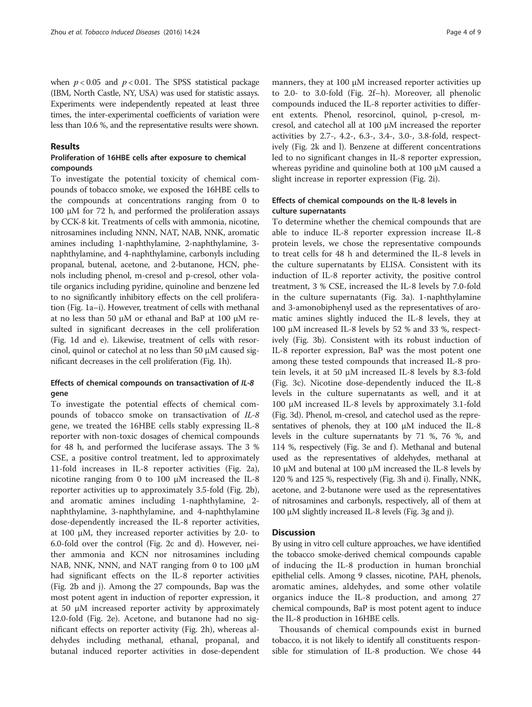when  $p < 0.05$  and  $p < 0.01$ . The SPSS statistical package (IBM, North Castle, NY, USA) was used for statistic assays. Experiments were independently repeated at least three times, the inter-experimental coefficients of variation were less than 10.6 %, and the representative results were shown.

### Results

## Proliferation of 16HBE cells after exposure to chemical compounds

To investigate the potential toxicity of chemical compounds of tobacco smoke, we exposed the 16HBE cells to the compounds at concentrations ranging from 0 to 100 μM for 72 h, and performed the proliferation assays by CCK-8 kit. Treatments of cells with ammonia, nicotine, nitrosamines including NNN, NAT, NAB, NNK, aromatic amines including 1-naphthylamine, 2-naphthylamine, 3 naphthylamine, and 4-naphthylamine, carbonyls including propanal, butenal, acetone, and 2-butanone, HCN, phenols including phenol, m-cresol and p-cresol, other volatile organics including pyridine, quinoline and benzene led to no significantly inhibitory effects on the cell proliferation (Fig. [1a](#page-4-0)–[i\)](#page-4-0). However, treatment of cells with methanal at no less than 50 μM or ethanal and BaP at 100 μM resulted in significant decreases in the cell proliferation (Fig. [1d](#page-4-0) and [e\)](#page-4-0). Likewise, treatment of cells with resorcinol, quinol or catechol at no less than 50 μM caused significant decreases in the cell proliferation (Fig. [1h\)](#page-4-0).

#### Effects of chemical compounds on transactivation of IL-8 gene

To investigate the potential effects of chemical compounds of tobacco smoke on transactivation of IL-8 gene, we treated the 16HBE cells stably expressing IL-8 reporter with non-toxic dosages of chemical compounds for 48 h, and performed the luciferase assays. The 3 % CSE, a positive control treatment, led to approximately 11-fold increases in IL-8 reporter activities (Fig. [2a](#page-5-0)), nicotine ranging from 0 to 100 μM increased the IL-8 reporter activities up to approximately 3.5-fold (Fig. [2b](#page-5-0)), and aromatic amines including 1-naphthylamine, 2 naphthylamine, 3-naphthylamine, and 4-naphthylamine dose-dependently increased the IL-8 reporter activities, at 100 μM, they increased reporter activities by 2.0- to 6.0-fold over the control (Fig. [2c](#page-5-0) and [d](#page-5-0)). However, neither ammonia and KCN nor nitrosamines including NAB, NNK, NNN, and NAT ranging from 0 to 100 μM had significant effects on the IL-8 reporter activities (Fig. [2b and j\)](#page-5-0). Among the 27 compounds, Bap was the most potent agent in induction of reporter expression, it at 50 μM increased reporter activity by approximately 12.0-fold (Fig. [2e\)](#page-5-0). Acetone, and butanone had no significant effects on reporter activity (Fig. [2h\)](#page-5-0), whereas aldehydes including methanal, ethanal, propanal, and butanal induced reporter activities in dose-dependent

manners, they at 100 μM increased reporter activities up to 2.0- to 3.0-fold (Fig. [2f](#page-5-0)–h). Moreover, all phenolic compounds induced the IL-8 reporter activities to different extents. Phenol, resorcinol, quinol, p-cresol, mcresol, and catechol all at 100 μM increased the reporter activities by 2.7-, 4.2-, 6.3-, 3.4-, 3.0-, 3.8-fold, respectively (Fig. [2k and l](#page-5-0)). Benzene at different concentrations led to no significant changes in IL-8 reporter expression, whereas pyridine and quinoline both at 100 μM caused a slight increase in reporter expression (Fig. [2i](#page-5-0)).

## Effects of chemical compounds on the IL-8 levels in culture supernatants

To determine whether the chemical compounds that are able to induce IL-8 reporter expression increase IL-8 protein levels, we chose the representative compounds to treat cells for 48 h and determined the IL-8 levels in the culture supernatants by ELISA. Consistent with its induction of IL-8 reporter activity, the positive control treatment, 3 % CSE, increased the IL-8 levels by 7.0-fold in the culture supernatants (Fig. [3a\)](#page-6-0). 1-naphthylamine and 3-amonobiphenyl used as the representatives of aromatic amines slightly induced the IL-8 levels, they at 100 μM increased IL-8 levels by 52 % and 33 %, respectively (Fig. [3b](#page-6-0)). Consistent with its robust induction of IL-8 reporter expression, BaP was the most potent one among these tested compounds that increased IL-8 protein levels, it at 50 μM increased IL-8 levels by 8.3-fold (Fig. [3c](#page-6-0)). Nicotine dose-dependently induced the IL-8 levels in the culture supernatants as well, and it at 100 μM increased IL-8 levels by approximately 3.1-fold (Fig. [3d](#page-6-0)). Phenol, m-cresol, and catechol used as the representatives of phenols, they at 100 μM induced the IL-8 levels in the culture supernatants by 71 %, 76 %, and 114 %, respectively (Fig. [3e and f](#page-6-0)). Methanal and butenal used as the representatives of aldehydes, methanal at 10 μM and butenal at 100 μM increased the IL-8 levels by 120 % and 125 %, respectively (Fig. [3h](#page-6-0) and [i\)](#page-6-0). Finally, NNK, acetone, and 2-butanone were used as the representatives of nitrosamines and carbonyls, respectively, all of them at 100 μM slightly increased IL-8 levels (Fig. [3g](#page-6-0) and [j\)](#page-6-0).

#### **Discussion**

By using in vitro cell culture approaches, we have identified the tobacco smoke-derived chemical compounds capable of inducing the IL-8 production in human bronchial epithelial cells. Among 9 classes, nicotine, PAH, phenols, aromatic amines, aldehydes, and some other volatile organics induce the IL-8 production, and among 27 chemical compounds, BaP is most potent agent to induce the IL-8 production in 16HBE cells.

Thousands of chemical compounds exist in burned tobacco, it is not likely to identify all constituents responsible for stimulation of IL-8 production. We chose 44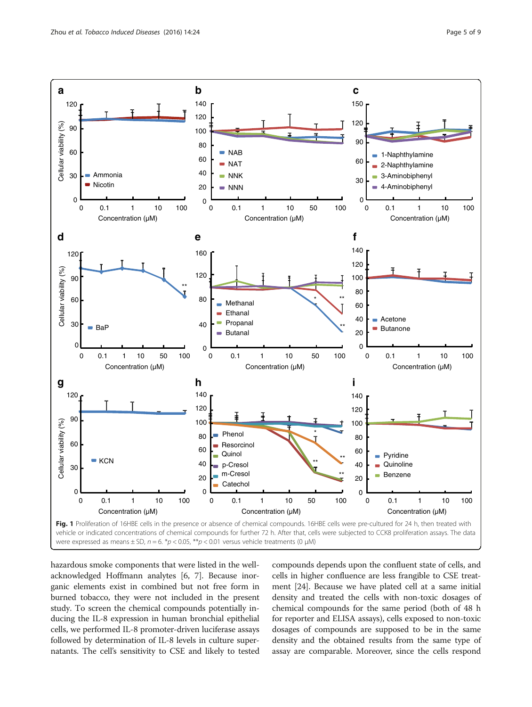<span id="page-4-0"></span>

hazardous smoke components that were listed in the wellacknowledged Hoffmann analytes [[6](#page-7-0), [7\]](#page-7-0). Because inorganic elements exist in combined but not free form in burned tobacco, they were not included in the present study. To screen the chemical compounds potentially inducing the IL-8 expression in human bronchial epithelial cells, we performed IL-8 promoter-driven luciferase assays followed by determination of IL-8 levels in culture supernatants. The cell's sensitivity to CSE and likely to tested

compounds depends upon the confluent state of cells, and cells in higher confluence are less frangible to CSE treatment [[24](#page-8-0)]. Because we have plated cell at a same initial density and treated the cells with non-toxic dosages of chemical compounds for the same period (both of 48 h for reporter and ELISA assays), cells exposed to non-toxic dosages of compounds are supposed to be in the same density and the obtained results from the same type of assay are comparable. Moreover, since the cells respond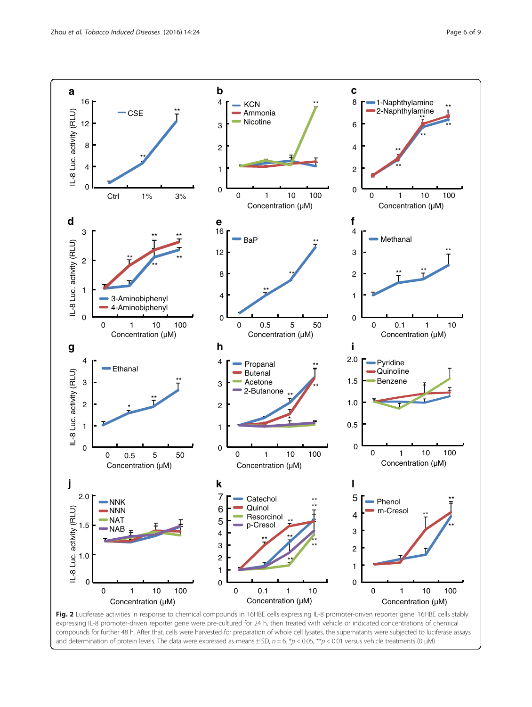<span id="page-5-0"></span>

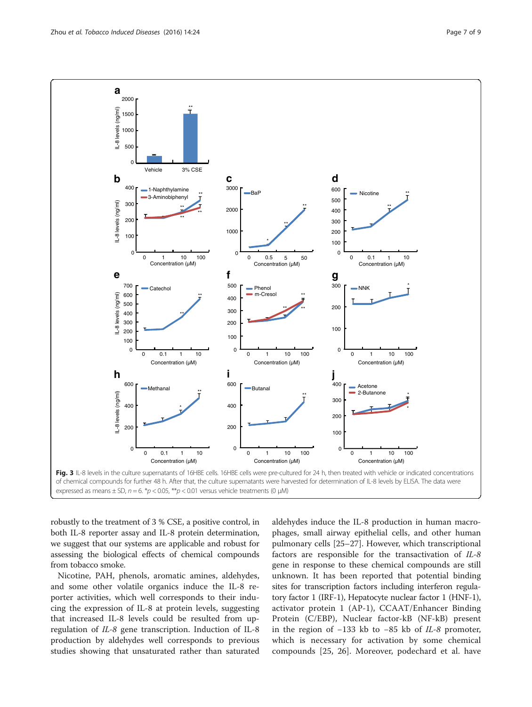<span id="page-6-0"></span>

robustly to the treatment of 3 % CSE, a positive control, in both IL-8 reporter assay and IL-8 protein determination, we suggest that our systems are applicable and robust for assessing the biological effects of chemical compounds from tobacco smoke.

Nicotine, PAH, phenols, aromatic amines, aldehydes, and some other volatile organics induce the IL-8 reporter activities, which well corresponds to their inducing the expression of IL-8 at protein levels, suggesting that increased IL-8 levels could be resulted from upregulation of IL-8 gene transcription. Induction of IL-8 production by aldehydes well corresponds to previous studies showing that unsaturated rather than saturated aldehydes induce the IL-8 production in human macrophages, small airway epithelial cells, and other human pulmonary cells [\[25](#page-8-0)–[27\]](#page-8-0). However, which transcriptional factors are responsible for the transactivation of IL-8 gene in response to these chemical compounds are still unknown. It has been reported that potential binding sites for transcription factors including interferon regulatory factor 1 (IRF-1), Hepatocyte nuclear factor 1 (HNF-1), activator protein 1 (AP-1), CCAAT/Enhancer Binding Protein (C/EBP), Nuclear factor-kB (NF-kB) present in the region of −133 kb to −85 kb of IL-8 promoter, which is necessary for activation by some chemical compounds [\[25](#page-8-0), [26](#page-8-0)]. Moreover, podechard et al. have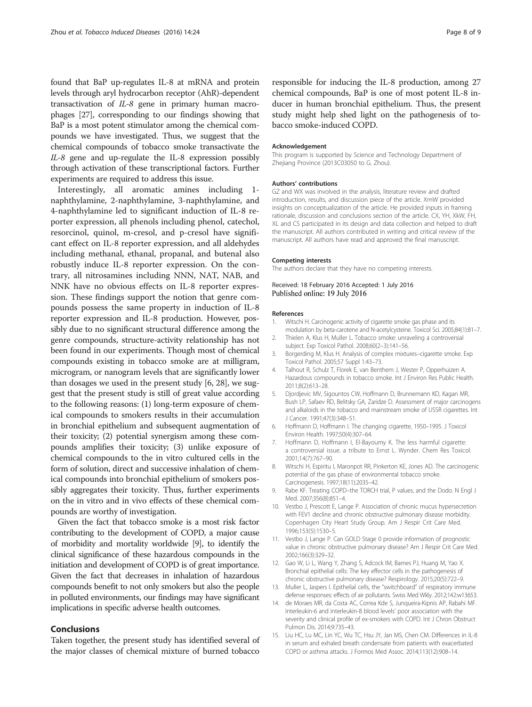<span id="page-7-0"></span>found that BaP up-regulates IL-8 at mRNA and protein levels through aryl hydrocarbon receptor (AhR)-dependent transactivation of IL-8 gene in primary human macrophages [\[27\]](#page-8-0), corresponding to our findings showing that BaP is a most potent stimulator among the chemical compounds we have investigated. Thus, we suggest that the chemical compounds of tobacco smoke transactivate the IL-8 gene and up-regulate the IL-8 expression possibly through activation of these transcriptional factors. Further experiments are required to address this issue.

Interestingly, all aromatic amines including 1 naphthylamine, 2-naphthylamine, 3-naphthylamine, and 4-naphthylamine led to significant induction of IL-8 reporter expression, all phenols including phenol, catechol, resorcinol, quinol, m-cresol, and p-cresol have significant effect on IL-8 reporter expression, and all aldehydes including methanal, ethanal, propanal, and butenal also robustly induce IL-8 reporter expression. On the contrary, all nitrosamines including NNN, NAT, NAB, and NNK have no obvious effects on IL-8 reporter expression. These findings support the notion that genre compounds possess the same property in induction of IL-8 reporter expression and IL-8 production. However, possibly due to no significant structural difference among the genre compounds, structure-activity relationship has not been found in our experiments. Though most of chemical compounds existing in tobacco smoke are at milligram, microgram, or nanogram levels that are significantly lower than dosages we used in the present study [6, [28](#page-8-0)], we suggest that the present study is still of great value according to the following reasons: (1) long-term exposure of chemical compounds to smokers results in their accumulation in bronchial epithelium and subsequent augmentation of their toxicity; (2) potential synergism among these compounds amplifies their toxicity; (3) unlike exposure of chemical compounds to the in vitro cultured cells in the form of solution, direct and successive inhalation of chemical compounds into bronchial epithelium of smokers possibly aggregates their toxicity. Thus, further experiments on the in vitro and in vivo effects of these chemical compounds are worthy of investigation.

Given the fact that tobacco smoke is a most risk factor contributing to the development of COPD, a major cause of morbidity and mortality worldwide [9], to identify the clinical significance of these hazardous compounds in the initiation and development of COPD is of great importance. Given the fact that decreases in inhalation of hazardous compounds benefit to not only smokers but also the people in polluted environments, our findings may have significant implications in specific adverse health outcomes.

#### Conclusions

Taken together, the present study has identified several of the major classes of chemical mixture of burned tobacco responsible for inducing the IL-8 production, among 27 chemical compounds, BaP is one of most potent IL-8 inducer in human bronchial epithelium. Thus, the present study might help shed light on the pathogenesis of tobacco smoke-induced COPD.

#### Acknowledgement

This program is supported by Science and Technology Department of Zhejiang Province (2013C03050 to G. Zhou).

#### Authors' contributions

GZ and WX was involved in the analysis, literature review and drafted introduction, results, and discussion piece of the article. XmW provided insights on conceptualization of the article. He provided inputs in framing rationale, discussion and conclusions section of the article. CX, YH, XkW, FH, XL and CS participated in its design and data collection and helped to draft the manuscript. All authors contributed in writing and critical review of the manuscript. All authors have read and approved the final manuscript.

#### Competing interests

The authors declare that they have no competing interests.

#### Received: 18 February 2016 Accepted: 1 July 2016 Published online: 19 July 2016

#### References

- 1. Witschi H. Carcinogenic activity of cigarette smoke gas phase and its modulation by beta-carotene and N-acetylcysteine. Toxicol Sci. 2005;84(1):81–7.
- 2. Thielen A, Klus H, Muller L. Tobacco smoke: unraveling a controversial subject. Exp Toxicol Pathol. 2008;60(2–3):141–56.
- 3. Borgerding M, Klus H. Analysis of complex mixtures–cigarette smoke. Exp Toxicol Pathol. 2005;57 Suppl 1:43–73.
- 4. Talhout R, Schulz T, Florek E, van Benthem J, Wester P, Opperhuizen A. Hazardous compounds in tobacco smoke. Int J Environ Res Public Health. 2011;8(2):613–28.
- 5. Djordjevic MV, Sigountos CW, Hoffmann D, Brunnemann KD, Kagan MR, Bush LP, Safaev RD, Belitsky GA, Zaridze D. Assessment of major carcinogens and alkaloids in the tobacco and mainstream smoke of USSR cigarettes. Int J Cancer. 1991;47(3):348–51.
- 6. Hoffmann D, Hoffmann I. The changing cigarette, 1950–1995. J Toxicol Environ Health. 1997;50(4):307–64.
- 7. Hoffmann D, Hoffmann I, El-Bayoumy K. The less harmful cigarette: a controversial issue. a tribute to Ernst L. Wynder. Chem Res Toxicol. 2001;14(7):767–90.
- 8. Witschi H, Espiritu I, Maronpot RR, Pinkerton KE, Jones AD. The carcinogenic potential of the gas phase of environmental tobacco smoke. Carcinogenesis. 1997;18(11):2035–42.
- 9. Rabe KF. Treating COPD–the TORCH trial, P values, and the Dodo. N Engl J Med. 2007;356(8):851–4.
- 10. Vestbo J, Prescott E, Lange P. Association of chronic mucus hypersecretion with FEV1 decline and chronic obstructive pulmonary disease morbidity. Copenhagen City Heart Study Group. Am J Respir Crit Care Med. 1996;153(5):1530–5.
- 11. Vestbo J, Lange P. Can GOLD Stage 0 provide information of prognostic value in chronic obstructive pulmonary disease? Am J Respir Crit Care Med. 2002;166(3):329–32.
- 12. Gao W, Li L, Wang Y, Zhang S, Adcock IM, Barnes PJ, Huang M, Yao X. Bronchial epithelial cells: The key effector cells in the pathogenesis of chronic obstructive pulmonary disease? Respirology. 2015;20(5):722–9.
- 13. Muller L, Jaspers I. Epithelial cells, the "switchboard" of respiratory immune defense responses: effects of air pollutants. Swiss Med Wkly. 2012;142:w13653.
- 14. de Moraes MR, da Costa AC, Correa Kde S, Junqueira-Kipnis AP, Rabahi MF. Interleukin-6 and interleukin-8 blood levels' poor association with the severity and clinical profile of ex-smokers with COPD. Int J Chron Obstruct Pulmon Dis. 2014;9:735–43.
- 15. Liu HC, Lu MC, Lin YC, Wu TC, Hsu JY, Jan MS, Chen CM. Differences in IL-8 in serum and exhaled breath condensate from patients with exacerbated COPD or asthma attacks. J Formos Med Assoc. 2014;113(12):908–14.